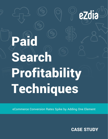# Paid Search Profitability Techniques

eCommerce Conversion Rates Spike by Adding One Element

CASE STUDY

ezdia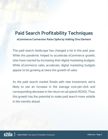#### **Paid Search Profitability Techniques**

**eCommerce Conversion Rates Spike by Adding One Element**

The paid search landscape has changed a lot in the past year. While the pandemic helped to accelerate eCommerce growth, sites have reacted by increasing their digital marketing budgets. While eCommerce sales accelerate, digital marketing budgets appear to be growing at twice the growth of sales.

As the paid search market floods with new investment, we're likely to see an increase in the average cost-per-click and corresponding decrease in the return on ad spend (ROAS). Thus, this growth has the potential to make paid search more volatile in the months ahead.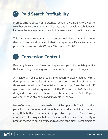## **Paid Search Profitability**

In times of rising costs, it's important to focus on the efficiency of a website to either convert visitors at a higher rate and/or develop techniques to increase the average order size. All other roads lead to profit challenges.

This case study isolates a single content technique that is little more than an incremental paragraph that's designed specifically to raise the product's conversion rate (Orders / Sessions or Visits).

#### **Conversion Content**

Read any book about Sales techniques and you'll immediately notice that something is missing from most eCommerce product pages.

A traditional face-to-face Sales interaction typically begins with a description of the product (features), some demonstration of the value those features will bring (benefits) and then a good Sales Rep will shift gears and start asking questions of the Prospect (probe). Probing is designed to uncover objections to purchase so that the Sales Rep can overcome those objections and finally close the sale.

Most eCommerce pages stop well short of this approach. A typical product page lists the features and benefits of a product and then presents a big BUY button. Of course it's impossible to properly "probe" using eCommerce techniques, but Conversion Content uses the credibility of product reviews to both identify and overcome the most likely objections.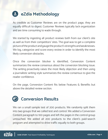## **eZdia Methodology**

As credible as Customer Reviews are on the product page, they are equally difficult to digest. Customer Reviews typically lack organization and are time consuming to wade through.

We started by ingesting all product reviews both from our client's site as well as from their competitors' sites. The goal was to get a complete picture of the product and gauge the product's strengths and weaknesses. We log, categorize and score every review in order to identify the most likely conversion obstacles.

Once the conversion blocker is identified, Conversion Content summarizes the review consensus about the conversion blocking issue. The writing proactively raises the most likely objection and then using a journalistic writing style summarizes the review consensus to give the reader confidence.

On the page, Conversion Content fits below Features & Benefits but above the detailed review section.



We ran a small sample test of 200 products. We randomly split them into two groups that we called test and control. We added a Conversion Content paragraph to 100 pages and left the pages in the control group untouched. We added all 200 products to the client's paid-search program and attempted to drive traffic equally to both groups.